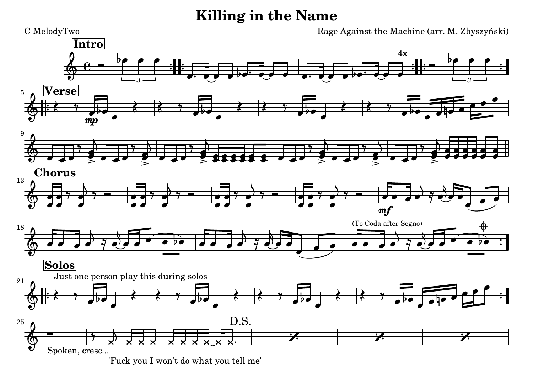## **Killing in the Name**